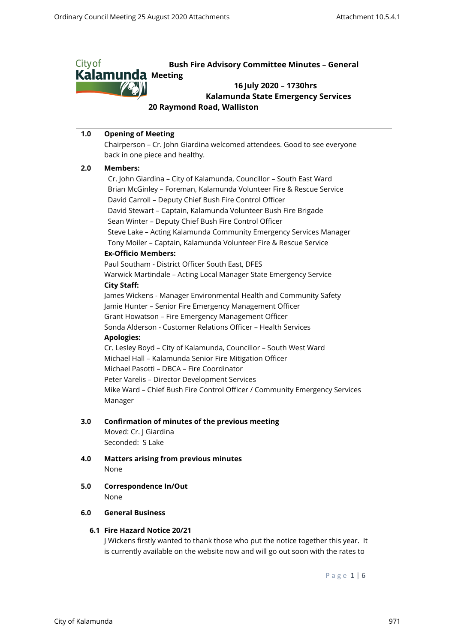

#### **1.0 Opening of Meeting**

Chairperson – Cr. John Giardina welcomed attendees. Good to see everyone back in one piece and healthy.

#### **2.0 Members:**

 Cr. John Giardina – City of Kalamunda, Councillor – South East Ward Brian McGinley – Foreman, Kalamunda Volunteer Fire & Rescue Service David Carroll – Deputy Chief Bush Fire Control Officer David Stewart – Captain, Kalamunda Volunteer Bush Fire Brigade Sean Winter – Deputy Chief Bush Fire Control Officer Steve Lake – Acting Kalamunda Community Emergency Services Manager Tony Moiler – Captain, Kalamunda Volunteer Fire & Rescue Service **Ex-Officio Members:** Paul Southam - District Officer South East, DFES Warwick Martindale – Acting Local Manager State Emergency Service **City Staff:** James Wickens - Manager Environmental Health and Community Safety Jamie Hunter – Senior Fire Emergency Management Officer Grant Howatson – Fire Emergency Management Officer Sonda Alderson - Customer Relations Officer – Health Services **Apologies:** Cr. Lesley Boyd – City of Kalamunda, Councillor – South West Ward Michael Hall – Kalamunda Senior Fire Mitigation Officer

Michael Pasotti – DBCA – Fire Coordinator

Peter Varelis – Director Development Services

Mike Ward – Chief Bush Fire Control Officer / Community Emergency Services Manager

#### **3.0 Confirmation of minutes of the previous meeting**

Moved: Cr. J Giardina Seconded: S Lake

- **4.0 Matters arising from previous minutes** None
- **5.0 Correspondence In/Out** None

#### **6.0 General Business**

# **6.1 Fire Hazard Notice 20/21**

J Wickens firstly wanted to thank those who put the notice together this year. It is currently available on the website now and will go out soon with the rates to

P a g e 1 | 6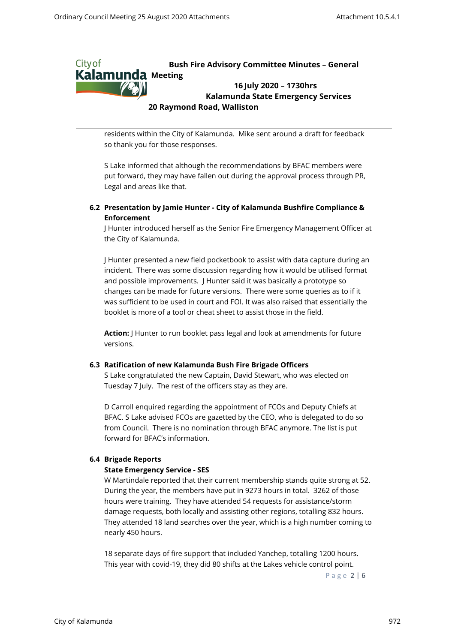

residents within the City of Kalamunda. Mike sent around a draft for feedback so thank you for those responses.

S Lake informed that although the recommendations by BFAC members were put forward, they may have fallen out during the approval process through PR, Legal and areas like that.

# **6.2 Presentation by Jamie Hunter - City of Kalamunda Bushfire Compliance & Enforcement**

J Hunter introduced herself as the Senior Fire Emergency Management Officer at the City of Kalamunda.

J Hunter presented a new field pocketbook to assist with data capture during an incident. There was some discussion regarding how it would be utilised format and possible improvements. J Hunter said it was basically a prototype so changes can be made for future versions. There were some queries as to if it was sufficient to be used in court and FOI. It was also raised that essentially the booklet is more of a tool or cheat sheet to assist those in the field.

**Action:** J Hunter to run booklet pass legal and look at amendments for future versions.

## **6.3 Ratification of new Kalamunda Bush Fire Brigade Officers**

S Lake congratulated the new Captain, David Stewart, who was elected on Tuesday 7 July. The rest of the officers stay as they are.

D Carroll enquired regarding the appointment of FCOs and Deputy Chiefs at BFAC. S Lake advised FCOs are gazetted by the CEO, who is delegated to do so from Council. There is no nomination through BFAC anymore. The list is put forward for BFAC's information.

## **6.4 Brigade Reports**

## **State Emergency Service - SES**

W Martindale reported that their current membership stands quite strong at 52. During the year, the members have put in 9273 hours in total. 3262 of those hours were training. They have attended 54 requests for assistance/storm damage requests, both locally and assisting other regions, totalling 832 hours. They attended 18 land searches over the year, which is a high number coming to nearly 450 hours.

18 separate days of fire support that included Yanchep, totalling 1200 hours. This year with covid-19, they did 80 shifts at the Lakes vehicle control point.

P a g e 2 | 6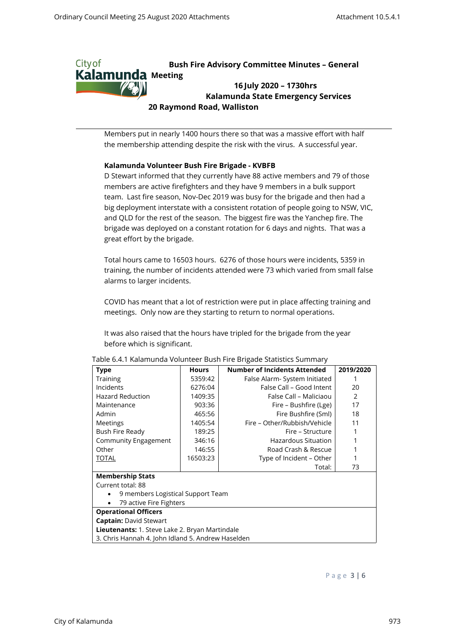

Members put in nearly 1400 hours there so that was a massive effort with half the membership attending despite the risk with the virus. A successful year.

## **Kalamunda Volunteer Bush Fire Brigade - KVBFB**

D Stewart informed that they currently have 88 active members and 79 of those members are active firefighters and they have 9 members in a bulk support team. Last fire season, Nov-Dec 2019 was busy for the brigade and then had a big deployment interstate with a consistent rotation of people going to NSW, VIC, and QLD for the rest of the season. The biggest fire was the Yanchep fire. The brigade was deployed on a constant rotation for 6 days and nights. That was a great effort by the brigade.

Total hours came to 16503 hours. 6276 of those hours were incidents, 5359 in training, the number of incidents attended were 73 which varied from small false alarms to larger incidents.

COVID has meant that a lot of restriction were put in place affecting training and meetings. Only now are they starting to return to normal operations.

It was also raised that the hours have tripled for the brigade from the year before which is significant.

| Type                                                  | <b>Hours</b> | Number of Incidents Attended  | 2019/2020 |
|-------------------------------------------------------|--------------|-------------------------------|-----------|
| Training                                              | 5359:42      | False Alarm- System Initiated |           |
| Incidents                                             | 6276:04      | False Call - Good Intent      | 20        |
| <b>Hazard Reduction</b>                               | 1409:35      | False Call – Maliciaou        | 2         |
| Maintenance                                           | 903:36       | Fire – Bushfire (Lge)         | 17        |
| Admin                                                 | 465:56       | Fire Bushfire (Sml)           | 18        |
| Meetings                                              | 1405:54      | Fire – Other/Rubbish/Vehicle  | 11        |
| Bush Fire Ready                                       | 189:25       | Fire – Structure              |           |
| Community Engagement                                  | 346:16       | Hazardous Situation           |           |
| Other                                                 | 146:55       | Road Crash & Rescue           |           |
| <b>TOTAL</b>                                          | 16503:23     | Type of Incident - Other      |           |
|                                                       |              | Total:                        | 73        |
| <b>Membership Stats</b>                               |              |                               |           |
| Current total: 88                                     |              |                               |           |
| 9 members Logistical Support Team                     |              |                               |           |
| 79 active Fire Fighters                               |              |                               |           |
| <b>Operational Officers</b>                           |              |                               |           |
| <b>Captain: David Stewart</b>                         |              |                               |           |
| <b>Lieutenants:</b> 1. Steve Lake 2. Bryan Martindale |              |                               |           |
| 3. Chris Hannah 4. John Idland 5. Andrew Haselden     |              |                               |           |

#### Table 6.4.1 Kalamunda Volunteer Bush Fire Brigade Statistics Summary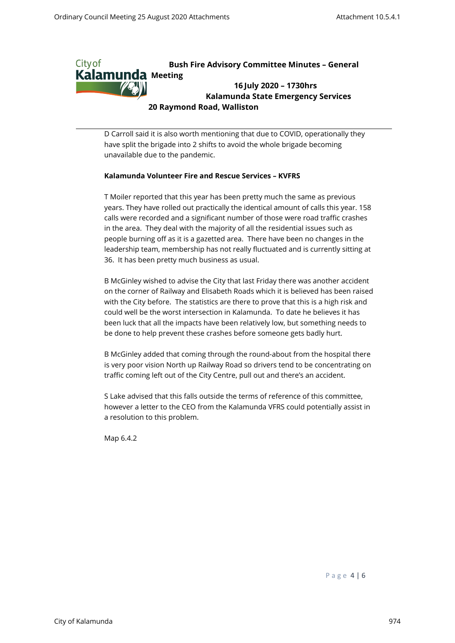

D Carroll said it is also worth mentioning that due to COVID, operationally they have split the brigade into 2 shifts to avoid the whole brigade becoming unavailable due to the pandemic.

## **Kalamunda Volunteer Fire and Rescue Services – KVFRS**

T Moiler reported that this year has been pretty much the same as previous years. They have rolled out practically the identical amount of calls this year. 158 calls were recorded and a significant number of those were road traffic crashes in the area. They deal with the majority of all the residential issues such as people burning off as it is a gazetted area. There have been no changes in the leadership team, membership has not really fluctuated and is currently sitting at 36. It has been pretty much business as usual.

B McGinley wished to advise the City that last Friday there was another accident on the corner of Railway and Elisabeth Roads which it is believed has been raised with the City before. The statistics are there to prove that this is a high risk and could well be the worst intersection in Kalamunda. To date he believes it has been luck that all the impacts have been relatively low, but something needs to be done to help prevent these crashes before someone gets badly hurt.

B McGinley added that coming through the round-about from the hospital there is very poor vision North up Railway Road so drivers tend to be concentrating on traffic coming left out of the City Centre, pull out and there's an accident.

S Lake advised that this falls outside the terms of reference of this committee, however a letter to the CEO from the Kalamunda VFRS could potentially assist in a resolution to this problem.

Map 6.4.2

P a g e 4 | 6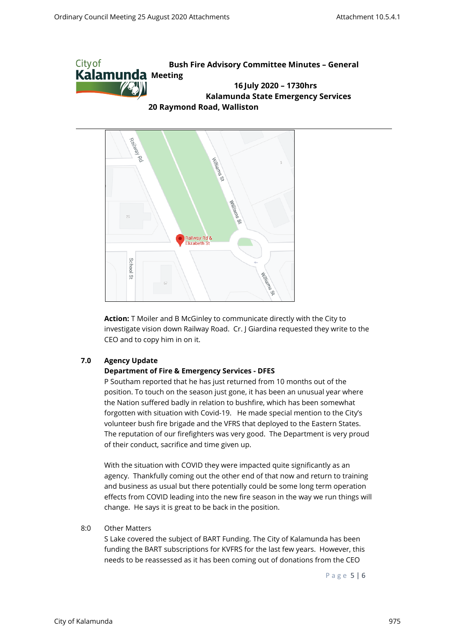



**Action:** T Moiler and B McGinley to communicate directly with the City to investigate vision down Railway Road. Cr. J Giardina requested they write to the CEO and to copy him in on it.

# **7.0 Agency Update**

## **Department of Fire & Emergency Services - DFES**

P Southam reported that he has just returned from 10 months out of the position. To touch on the season just gone, it has been an unusual year where the Nation suffered badly in relation to bushfire, which has been somewhat forgotten with situation with Covid-19. He made special mention to the City's volunteer bush fire brigade and the VFRS that deployed to the Eastern States. The reputation of our firefighters was very good. The Department is very proud of their conduct, sacrifice and time given up.

With the situation with COVID they were impacted quite significantly as an agency. Thankfully coming out the other end of that now and return to training and business as usual but there potentially could be some long term operation effects from COVID leading into the new fire season in the way we run things will change. He says it is great to be back in the position.

#### 8:0 Other Matters

S Lake covered the subject of BART Funding. The City of Kalamunda has been funding the BART subscriptions for KVFRS for the last few years. However, this needs to be reassessed as it has been coming out of donations from the CEO

P a g e 5 | 6